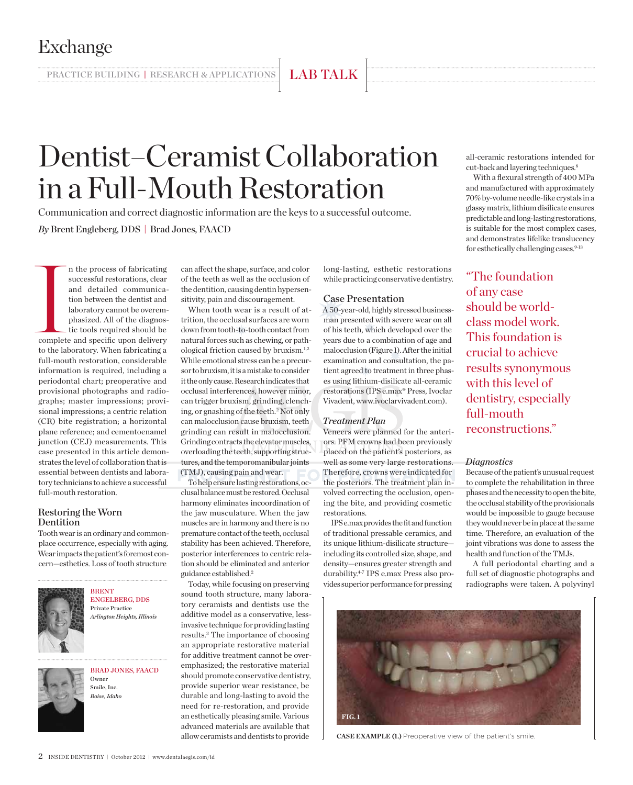PRACTICE BUILDING | RESEARCH & APPLICATIONS | LAB TALK

# Dentist–Ceramist Collaboration in a Full-Mouth Restoration

Communication and correct diagnostic information are the keys to a successful outcome. *By* Brent Engleberg, DDS | Brad Jones, FAACD

and the lines of the lines of the lines of the lines of the lines of the lines of the lines of the lines of the lines of the lines of the lines of the lines of the lines of the lines of the lines of the lines of the lines n the process of fabricating successful restorations, clear and detailed communication between the dentist and laboratory cannot be overemphasized. All of the diagnostic tools required should be complete and specific upon delivery to the laboratory. When fabricating a full-mouth restoration, considerable information is required, including a periodontal chart; preoperative and provisional photographs and radiographs; master impressions; provisional impressions; a centric relation (CR) bite registration; a horizontal plane reference; and cementoenamel junction (CEJ) measurements. This case presented in this article demonstrates the level of collaboration that is essential between dentists and laboratory technicians to achieve a successful full-mouth restoration.

### Restoring the Worn Dentition

Tooth wear is an ordinary and commonplace occurrence, especially with aging. Wear impacts the patient's foremost concern—esthetics. Loss of tooth structure



**BRENT** Engelberg, DDS Private Practice *Arlington Heights, Illinois*

Brad Jones, FAACD Owner Smile, Inc. *Boise, Idaho*

can affect the shape, surface, and color of the teeth as well as the occlusion of the dentition, causing dentin hypersensitivity, pain and discouragement.

When tooth wear is a result of attrition, the occlusal surfaces are worn down from tooth-to-tooth contact from natural forces such as chewing, or pathological friction caused by bruxism.1,2 While emotional stress can be a precursor to bruxism, it is a mistake to consider it the only cause. Research indicates that occlusal interferences, however minor, can trigger bruxism, grinding, clenching, or gnashing of the teeth.2 Not only can malocclusion cause bruxism, teeth grinding can result in malocclusion. Grinding contracts the elevator muscles, overloading the teeth, supporting structures, and the temporomanibular joints (TMJ), causing pain and wear.

To help ensure lasting restorations, occlusal balance must be restored. Occlusal harmony eliminates incoordination of the jaw musculature. When the jaw muscles are in harmony and there is no premature contact of the teeth, occlusal stability has been achieved. Therefore, posterior interferences to centric relation should be eliminated and anterior guidance established.2

Today, while focusing on preserving sound tooth structure, many laboratory ceramists and dentists use the additive model as a conservative, lessinvasive technique for providing lasting results.3 The importance of choosing an appropriate restorative material for additive treatment cannot be overemphasized; the restorative material should promote conservative dentistry, provide superior wear resistance, be durable and long-lasting to avoid the need for re-restoration, and provide an esthetically pleasing smile. Various advanced materials are available that allow ceramists and dentists to provide

long-lasting, esthetic restorations while practicing conservative dentistry.

## Case Presentation

A 50-year-old, highly stressed businessman presented with severe wear on all of his teeth, which developed over the years due to a combination of age and malocclusion (Figure 1). After the initial examination and consultation, the patient agreed to treatment in three phases using lithium-disilicate all-ceramic restorations (IPS e.max® Press, Ivoclar Vivadent, www.ivoclarvivadent.com).

#### *Treatment Plan*

Veneers were planned for the anteriors. PFM crowns had been previously placed on the patient's posteriors, as well as some very large restorations. Therefore, crowns were indicated for the posteriors. The treatment plan involved correcting the occlusion, opening the bite, and providing cosmetic restorations.

IPS e.max provides the fit and function of traditional pressable ceramics, and its unique lithium-disilicate structure including its controlled size, shape, and density—ensures greater strength and durability.4-7 IPS e.max Press also provides superior performance for pressing



**CASE EXAMPLE (1.)** Preoperative view of the patient's smile.

all-ceramic restorations intended for cut-back and layering techniques.8

With a flexural strength of 400 MPa and manufactured with approximately 70% by-volume needle-like crystals in a glassy matrix, lithium disilicate ensures predictable and long-lasting restorations, is suitable for the most complex cases, and demonstrates lifelike translucency for esthetically challenging cases.<sup>9-13</sup>

"The foundation of any case should be worldclass model work. This foundation is crucial to achieve results synonymous with this level of dentistry, especially full-mouth reconstructions."

#### *Diagnostics*

Because of the patient's unusual request to complete the rehabilitation in three phases and the necessity to open the bite, the occlusal stability of the provisionals would be impossible to gauge because they would never be in place at the same time. Therefore, an evaluation of the joint vibrations was done to assess the health and function of the TMJs.

A full periodontal charting and a full set of diagnostic photographs and radiographs were taken. A polyvinyl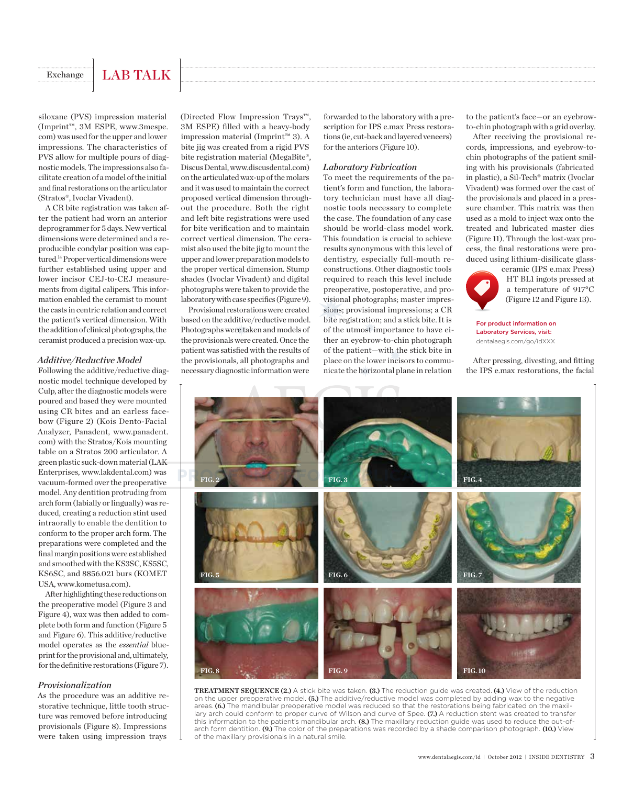## Exchange | LAB TALK

siloxane (PVS) impression material (Imprint™, 3M ESPE, www.3mespe. com) was used for the upper and lower impressions. The characteristics of PVS allow for multiple pours of diagnostic models. The impressions also facilitate creation of a model of the initial and final restorations on the articulator (Stratos®, Ivoclar Vivadent).

A CR bite registration was taken after the patient had worn an anterior deprogrammer for 5 days. New vertical dimensions were determined and a reproducible condylar position was captured.14 Proper vertical dimensions were further established using upper and lower incisor CEJ-to-CEJ measurements from digital calipers. This information enabled the ceramist to mount the casts in centric relation and correct the patient's vertical dimension. With the addition of clinical photographs, the ceramist produced a precision wax-up.

#### *Additive/Reductive Model*

Following the additive/reductive diagnostic model technique developed by Culp, after the diagnostic models were poured and based they were mounted using CR bites and an earless facebow (Figure 2) (Kois Dento-Facial Analyzer, Panadent, www.panadent. com) with the Stratos/Kois mounting table on a Stratos 200 articulator. A green plastic suck-down material (LAK Enterprises, www.lakdental.com) was vacuum-formed over the preoperative model. Any dentition protruding from arch form (labially or lingually) was reduced, creating a reduction stint used intraorally to enable the dentition to conform to the proper arch form. The preparations were completed and the final margin positions were established and smoothed with the KS3SC, KS5SC, KS6SC, and 8856.021 burs (KOMET USA, www.kometusa.com).

After highlighting these reductions on the preoperative model (Figure 3 and Figure 4), wax was then added to complete both form and function (Figure 5 and Figure 6). This additive/reductive model operates as the *essential* blueprint for the provisional and, ultimately, for the definitive restorations (Figure 7).

#### *Provisionalization*

As the procedure was an additive restorative technique, little tooth structure was removed before introducing provisionals (Figure 8). Impressions were taken using impression trays

(Directed Flow Impression Trays™, 3M ESPE) filled with a heavy-body impression material (Imprint™ 3). A bite jig was created from a rigid PVS bite registration material (MegaBite®, Discus Dental, www.discusdental.com) on the articulated wax-up of the molars and it was used to maintain the correct proposed vertical dimension throughout the procedure. Both the right and left bite registrations were used for bite verification and to maintain correct vertical dimension. The ceramist also used the bite jig to mount the upper and lower preparation models to the proper vertical dimension. Stump shades (Ivoclar Vivadent) and digital photographs were taken to provide the laboratory with case specifics (Figure 9).

Provisional restorations were created based on the additive/reductive model. Photographs were taken and models of the provisionals were created. Once the patient was satisfied with the results of the provisionals, all photographs and necessary diagnostic information were

forwarded to the laboratory with a prescription for IPS e.max Press restorations (ie, cut-back and layered veneers) for the anteriors (Figure 10).

#### *Laboratory Fabrication*

To meet the requirements of the patient's form and function, the laboratory technician must have all diagnostic tools necessary to complete the case. The foundation of any case should be world-class model work. This foundation is crucial to achieve results synonymous with this level of dentistry, especially full-mouth reconstructions. Other diagnostic tools required to reach this level include preoperative, postoperative, and provisional photographs; master impressions; provisional impressions; a CR bite registration; and a stick bite. It is of the utmost importance to have either an eyebrow-to-chin photograph of the patient—with the stick bite in place on the lower incisors to communicate the horizontal plane in relation

to the patient's face—or an eyebrowto-chin photograph with a grid overlay.

After receiving the provisional records, impressions, and eyebrow-tochin photographs of the patient smiling with his provisionals (fabricated in plastic), a Sil-Tech® matrix (Ivoclar Vivadent) was formed over the cast of the provisionals and placed in a pressure chamber. This matrix was then used as a mold to inject wax onto the treated and lubricated master dies (Figure 11). Through the lost-wax process, the final restorations were produced using lithium-disilicate glass-



ceramic (IPS e.max Press) HT BL1 ingots pressed at a temperature of 917°C (Figure 12 and Figure 13).

For product information on Laboratory Services, visit: dentalaegis.com/go/idXXX

After pressing, divesting, and fitting the IPS e.max restorations, the facial



**TREATMENT SEQUENCE (2.)** A stick bite was taken. **(3.)** The reduction guide was created. **(4.)** View of the reduction on the upper preoperative model. **(5.)** The additive/reductive model was completed by adding wax to the negative areas. **(6.)** The mandibular preoperative model was reduced so that the restorations being fabricated on the maxillary arch could conform to proper curve of Wilson and curve of Spee. **(7.)** A reduction stent was created to transfer this information to the patient's mandibular arch. **(8.)** The maxillary reduction guide was used to reduce the out-ofarch form dentition. **(9.)** The color of the preparations was recorded by a shade comparison photograph. **(10.)** View of the maxillary provisionals in a natural smile.